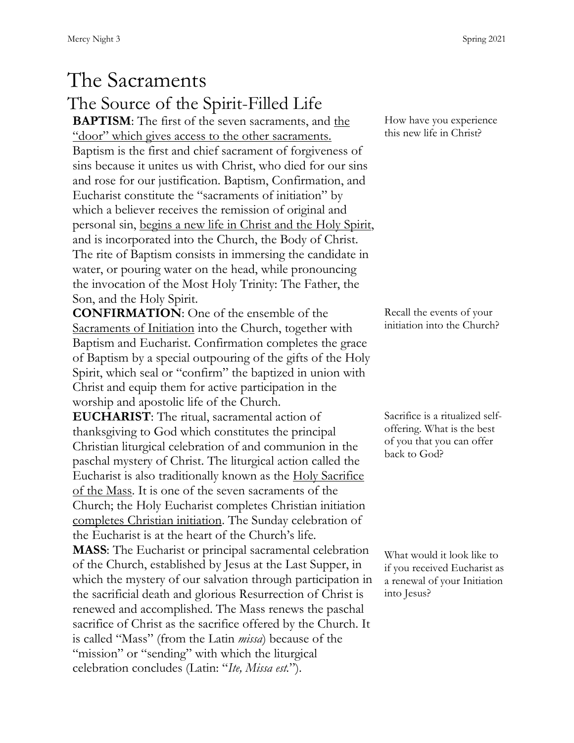## The Sacraments The Source of the Spirit-Filled Life

**BAPTISM**: The first of the seven sacraments, and the "door" which gives access to the other sacraments. Baptism is the first and chief sacrament of forgiveness of sins because it unites us with Christ, who died for our sins and rose for our justification. Baptism, Confirmation, and Eucharist constitute the "sacraments of initiation" by which a believer receives the remission of original and personal sin, begins a new life in Christ and the Holy Spirit, and is incorporated into the Church, the Body of Christ. The rite of Baptism consists in immersing the candidate in water, or pouring water on the head, while pronouncing the invocation of the Most Holy Trinity: The Father, the Son, and the Holy Spirit.

**CONFIRMATION**: One of the ensemble of the Sacraments of Initiation into the Church, together with Baptism and Eucharist. Confirmation completes the grace of Baptism by a special outpouring of the gifts of the Holy Spirit, which seal or "confirm" the baptized in union with Christ and equip them for active participation in the worship and apostolic life of the Church.

**EUCHARIST**: The ritual, sacramental action of thanksgiving to God which constitutes the principal Christian liturgical celebration of and communion in the paschal mystery of Christ. The liturgical action called the Eucharist is also traditionally known as the Holy Sacrifice of the Mass. It is one of the seven sacraments of the Church; the Holy Eucharist completes Christian initiation completes Christian initiation. The Sunday celebration of the Eucharist is at the heart of the Church's life.

**MASS**: The Eucharist or principal sacramental celebration of the Church, established by Jesus at the Last Supper, in which the mystery of our salvation through participation in the sacrificial death and glorious Resurrection of Christ is renewed and accomplished. The Mass renews the paschal sacrifice of Christ as the sacrifice offered by the Church. It is called "Mass" (from the Latin *missa*) because of the "mission" or "sending" with which the liturgical celebration concludes (Latin: "*Ite, Missa est.*").

How have you experience this new life in Christ?

Recall the events of your initiation into the Church?

Sacrifice is a ritualized selfoffering. What is the best of you that you can offer back to God?

What would it look like to if you received Eucharist as a renewal of your Initiation into Jesus?